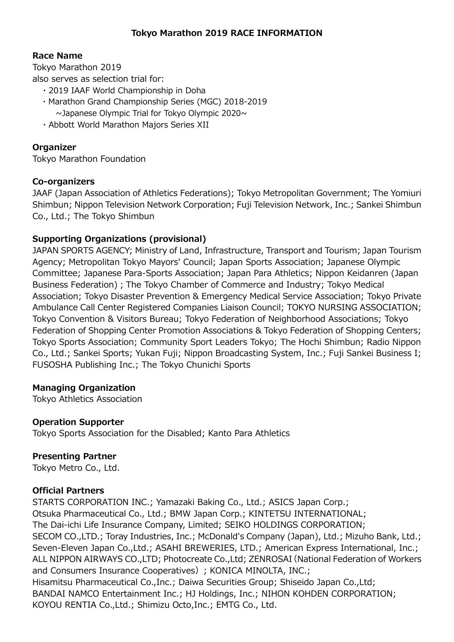#### Race Name

Tokyo Marathon 2019

also serves as selection trial for:

- ・2019 IAAF World Championship in Doha
- ・Marathon Grand Championship Series (MGC) 2018-2019 ~Japanese Olympic Trial for Tokyo Olympic 2020~
- ・Abbott World Marathon Majors Series XII

### Organizer

Tokyo Marathon Foundation

#### Co-organizers

JAAF (Japan Association of Athletics Federations); Tokyo Metropolitan Government; The Yomiuri Shimbun; Nippon Television Network Corporation; Fuji Television Network, Inc.; Sankei Shimbun Co., Ltd.; The Tokyo Shimbun

#### Supporting Organizations (provisional)

JAPAN SPORTS AGENCY; Ministry of Land, Infrastructure, Transport and Tourism; Japan Tourism Agency; Metropolitan Tokyo Mayors' Council; Japan Sports Association; Japanese Olympic Committee; Japanese Para-Sports Association; Japan Para Athletics; Nippon Keidanren (Japan Business Federation); The Tokyo Chamber of Commerce and Industry; Tokyo Medical Association; Tokyo Disaster Prevention & Emergency Medical Service Association; Tokyo Private Ambulance Call Center Registered Companies Liaison Council; TOKYO NURSING ASSOCIATION; Tokyo Convention & Visitors Bureau; Tokyo Federation of Neighborhood Associations; Tokyo Federation of Shopping Center Promotion Associations & Tokyo Federation of Shopping Centers; Tokyo Sports Association; Community Sport Leaders Tokyo; The Hochi Shimbun; Radio Nippon Co., Ltd.; Sankei Sports; Yukan Fuji; Nippon Broadcasting System, Inc.; Fuji Sankei Business I; FUSOSHA Publishing Inc.; The Tokyo Chunichi Sports

### Managing Organization

Tokyo Athletics Association

#### Operation Supporter

Tokyo Sports Association for the Disabled; Kanto Para Athletics

#### Presenting Partner

Tokyo Metro Co., Ltd.

#### Official Partners

STARTS CORPORATION INC.; Yamazaki Baking Co., Ltd.; ASICS Japan Corp.; Otsuka Pharmaceutical Co., Ltd.; BMW Japan Corp.; KINTETSU INTERNATIONAL; The Dai-ichi Life Insurance Company, Limited; SEIKO HOLDINGS CORPORATION; SECOM CO.,LTD.; Toray Industries, Inc.; McDonald's Company (Japan), Ltd.; Mizuho Bank, Ltd.; Seven-Eleven Japan Co.,Ltd.; ASAHI BREWERIES, LTD.; American Express International, Inc.; ALL NIPPON AIRWAYS CO.,LTD; Photocreate Co.,Ltd; ZENROSAI(National Federation of Workers and Consumers Insurance Cooperatives); KONICA MINOLTA, INC.; Hisamitsu Pharmaceutical Co.,Inc.; Daiwa Securities Group; Shiseido Japan Co.,Ltd; BANDAI NAMCO Entertainment Inc.; HJ Holdings, Inc.; NIHON KOHDEN CORPORATION; KOYOU RENTIA Co.,Ltd.; Shimizu Octo,Inc.; EMTG Co., Ltd.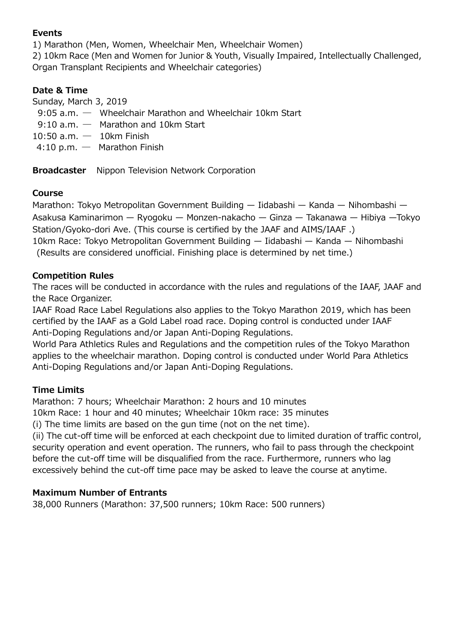### Events

1) Marathon (Men, Women, Wheelchair Men, Wheelchair Women)

2) 10km Race (Men and Women for Junior & Youth, Visually Impaired, Intellectually Challenged, Organ Transplant Recipients and Wheelchair categories)

# Date & Time

Sunday, March 3, 2019

- 9:05 a.m. Wheelchair Marathon and Wheelchair 10km Start
- 9:10 a.m.  $-$  Marathon and 10km Start
- $10:50$  a.m.  $-$  10km Finish
- 4:10 p.m. ― Marathon Finish

**Broadcaster** Nippon Television Network Corporation

### Course

Marathon: Tokyo Metropolitan Government Building — Iidabashi — Kanda — Nihombashi — Asakusa Kaminarimon — Ryogoku — Monzen-nakacho — Ginza — Takanawa — Hibiya —Tokyo Station/Gyoko-dori Ave. (This course is certified by the JAAF and AIMS/IAAF .) 10km Race: Tokyo Metropolitan Government Building — Iidabashi — Kanda — Nihombashi

(Results are considered unofficial. Finishing place is determined by net time.)

## Competition Rules

The races will be conducted in accordance with the rules and regulations of the IAAF, JAAF and the Race Organizer.

IAAF Road Race Label Regulations also applies to the Tokyo Marathon 2019, which has been certified by the IAAF as a Gold Label road race. Doping control is conducted under IAAF Anti-Doping Regulations and/or Japan Anti-Doping Regulations.

World Para Athletics Rules and Regulations and the competition rules of the Tokyo Marathon applies to the wheelchair marathon. Doping control is conducted under World Para Athletics Anti-Doping Regulations and/or Japan Anti-Doping Regulations.

### Time Limits

Marathon: 7 hours; Wheelchair Marathon: 2 hours and 10 minutes

10km Race: 1 hour and 40 minutes; Wheelchair 10km race: 35 minutes

(i) The time limits are based on the gun time (not on the net time).

(ii) The cut-off time will be enforced at each checkpoint due to limited duration of traffic control, security operation and event operation. The runners, who fail to pass through the checkpoint before the cut-off time will be disqualified from the race. Furthermore, runners who lag excessively behind the cut-off time pace may be asked to leave the course at anytime.

### Maximum Number of Entrants

38,000 Runners (Marathon: 37,500 runners; 10km Race: 500 runners)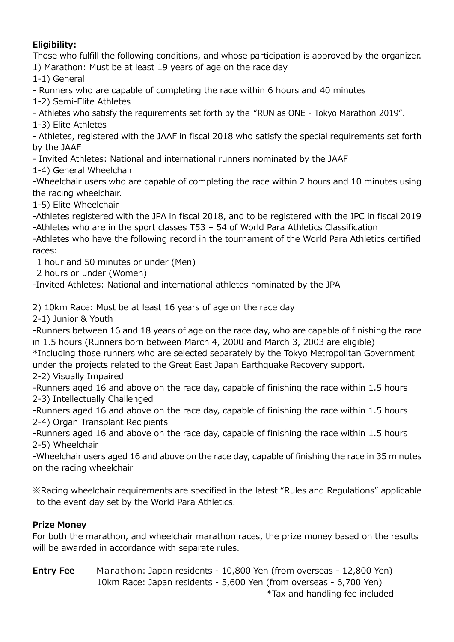# Eligibility:

Those who fulfill the following conditions, and whose participation is approved by the organizer. 1) Marathon: Must be at least 19 years of age on the race day

1-1) General

- Runners who are capable of completing the race within 6 hours and 40 minutes

1-2) Semi-Elite Athletes

- Athletes who satisfy the requirements set forth by the "RUN as ONE - Tokyo Marathon 2019".

1-3) Elite Athletes

- Athletes, registered with the JAAF in fiscal 2018 who satisfy the special requirements set forth by the JAAF

- Invited Athletes: National and international runners nominated by the JAAF

1-4) General Wheelchair

-Wheelchair users who are capable of completing the race within 2 hours and 10 minutes using the racing wheelchair.

1-5) Elite Wheelchair

-Athletes registered with the JPA in fiscal 2018, and to be registered with the IPC in fiscal 2019 -Athletes who are in the sport classes T53 – 54 of World Para Athletics Classification

-Athletes who have the following record in the tournament of the World Para Athletics certified races:

1 hour and 50 minutes or under (Men)

2 hours or under (Women)

-Invited Athletes: National and international athletes nominated by the JPA

2) 10km Race: Must be at least 16 years of age on the race day

2-1) Junior & Youth

-Runners between 16 and 18 years of age on the race day, who are capable of finishing the race in 1.5 hours (Runners born between March 4, 2000 and March 3, 2003 are eligible)

\*Including those runners who are selected separately by the Tokyo Metropolitan Government under the projects related to the Great East Japan Earthquake Recovery support.

2-2) Visually Impaired

-Runners aged 16 and above on the race day, capable of finishing the race within 1.5 hours 2-3) Intellectually Challenged

-Runners aged 16 and above on the race day, capable of finishing the race within 1.5 hours 2-4) Organ Transplant Recipients

-Runners aged 16 and above on the race day, capable of finishing the race within 1.5 hours 2-5) Wheelchair

-Wheelchair users aged 16 and above on the race day, capable of finishing the race in 35 minutes on the racing wheelchair

※Racing wheelchair requirements are specified in the latest "Rules and Regulations" applicable to the event day set by the World Para Athletics.

# Prize Money

For both the marathon, and wheelchair marathon races, the prize money based on the results will be awarded in accordance with separate rules.

**Entry Fee** Marathon: Japan residents - 10,800 Yen (from overseas - 12,800 Yen) 10km Race: Japan residents - 5,600 Yen (from overseas - 6,700 Yen) \*Tax and handling fee included